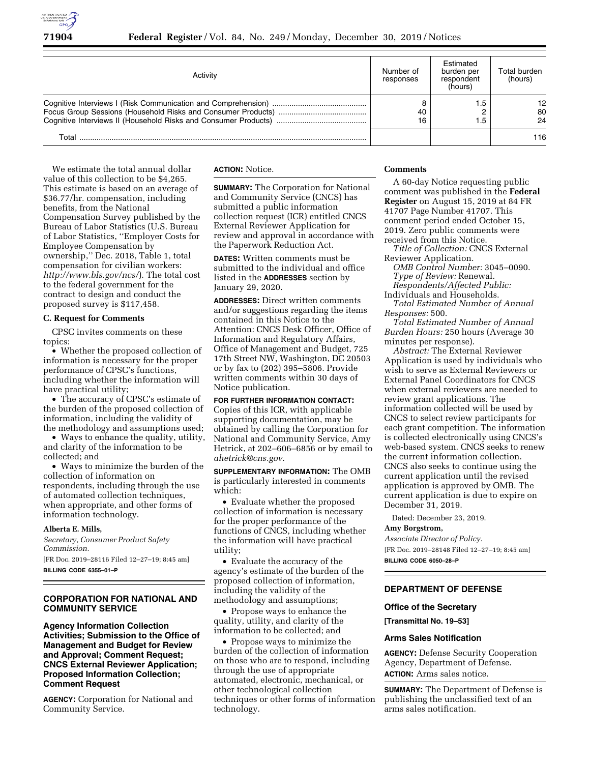

| Activity | Number of<br>responses | Estimated<br>burden per<br>respondent<br>(hours) | Total burden<br>(hours) |
|----------|------------------------|--------------------------------------------------|-------------------------|
|          | 40<br>16               | .5<br>.5                                         | 12.<br>80<br>24         |
| Total    |                        |                                                  | 116                     |

We estimate the total annual dollar value of this collection to be \$4,265. This estimate is based on an average of \$36.77/hr. compensation, including benefits, from the National Compensation Survey published by the Bureau of Labor Statistics (U.S. Bureau of Labor Statistics, ''Employer Costs for Employee Compensation by ownership,'' Dec. 2018, Table 1, total compensation for civilian workers: *<http://www.bls.gov/ncs/>*). The total cost to the federal government for the contract to design and conduct the proposed survey is \$117,458.

## **C. Request for Comments**

CPSC invites comments on these topics:

• Whether the proposed collection of information is necessary for the proper performance of CPSC's functions, including whether the information will have practical utility;

• The accuracy of CPSC's estimate of the burden of the proposed collection of information, including the validity of the methodology and assumptions used;

• Ways to enhance the quality, utility, and clarity of the information to be collected; and

• Ways to minimize the burden of the collection of information on respondents, including through the use of automated collection techniques, when appropriate, and other forms of information technology.

## **Alberta E. Mills,**

*Secretary, Consumer Product Safety Commission.* 

[FR Doc. 2019–28116 Filed 12–27–19; 8:45 am] **BILLING CODE 6355–01–P** 

## **CORPORATION FOR NATIONAL AND COMMUNITY SERVICE**

**Agency Information Collection Activities; Submission to the Office of Management and Budget for Review and Approval; Comment Request; CNCS External Reviewer Application; Proposed Information Collection; Comment Request** 

**AGENCY:** Corporation for National and Community Service.

**ACTION:** Notice.

**SUMMARY:** The Corporation for National and Community Service (CNCS) has submitted a public information collection request (ICR) entitled CNCS External Reviewer Application for review and approval in accordance with the Paperwork Reduction Act.

**DATES:** Written comments must be submitted to the individual and office listed in the **ADDRESSES** section by January 29, 2020.

**ADDRESSES:** Direct written comments and/or suggestions regarding the items contained in this Notice to the Attention: CNCS Desk Officer, Office of Information and Regulatory Affairs, Office of Management and Budget, 725 17th Street NW, Washington, DC 20503 or by fax to (202) 395–5806. Provide written comments within 30 days of Notice publication.

## **FOR FURTHER INFORMATION CONTACT:**

Copies of this ICR, with applicable supporting documentation, may be obtained by calling the Corporation for National and Community Service, Amy Hetrick, at 202–606–6856 or by email to *[ahetrick@cns.gov](mailto:ahetrick@cns.gov)*.

**SUPPLEMENTARY INFORMATION:** The OMB is particularly interested in comments which:

• Evaluate whether the proposed collection of information is necessary for the proper performance of the functions of CNCS, including whether the information will have practical utility;

• Evaluate the accuracy of the agency's estimate of the burden of the proposed collection of information, including the validity of the methodology and assumptions;

• Propose ways to enhance the quality, utility, and clarity of the information to be collected; and

• Propose ways to minimize the burden of the collection of information on those who are to respond, including through the use of appropriate automated, electronic, mechanical, or other technological collection techniques or other forms of information technology.

## **Comments**

A 60-day Notice requesting public comment was published in the **Federal Register** on August 15, 2019 at 84 FR 41707 Page Number 41707. This comment period ended October 15, 2019. Zero public comments were received from this Notice.

*Title of Collection:* CNCS External Reviewer Application.

*OMB Control Number:* 3045–0090. *Type of Review:* Renewal.

*Respondents/Affected Public:*  Individuals and Households.

*Total Estimated Number of Annual Responses:* 500.

*Total Estimated Number of Annual Burden Hours:* 250 hours (Average 30 minutes per response).

*Abstract:* The External Reviewer Application is used by individuals who wish to serve as External Reviewers or External Panel Coordinators for CNCS when external reviewers are needed to review grant applications. The information collected will be used by CNCS to select review participants for each grant competition. The information is collected electronically using CNCS's web-based system. CNCS seeks to renew the current information collection. CNCS also seeks to continue using the current application until the revised application is approved by OMB. The current application is due to expire on December 31, 2019.

Dated: December 23, 2019.

### **Amy Borgstrom,**

*Associate Director of Policy.*  [FR Doc. 2019–28148 Filed 12–27–19; 8:45 am] **BILLING CODE 6050–28–P** 

### **DEPARTMENT OF DEFENSE**

### **Office of the Secretary**

**[Transmittal No. 19–53]** 

### **Arms Sales Notification**

**AGENCY:** Defense Security Cooperation Agency, Department of Defense. **ACTION:** Arms sales notice.

**SUMMARY:** The Department of Defense is publishing the unclassified text of an arms sales notification.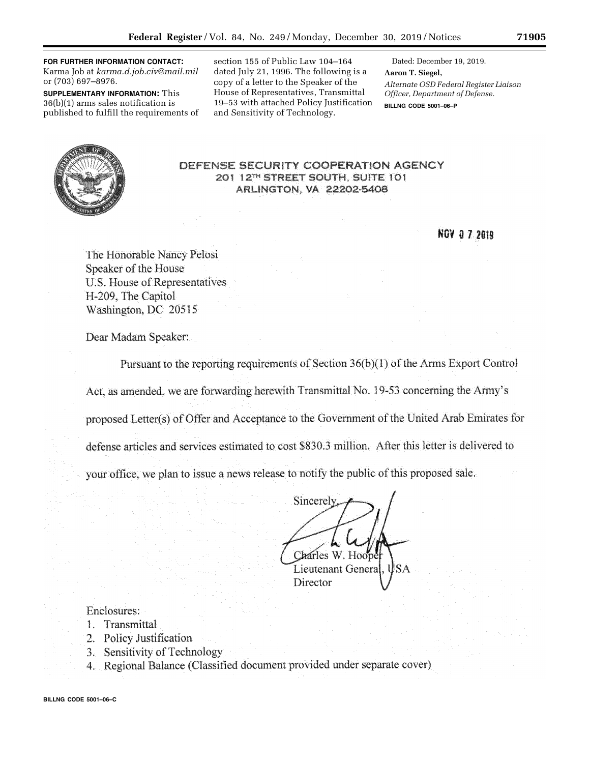**FOR FURTHER INFORMATION CONTACT:**  Karma Job at *[karma.d.job.civ@mail.mil](mailto:karma.d.job.civ@mail.mil)*  or (703) 697–8976.

**SUPPLEMENTARY INFORMATION:** This 36(b)(1) arms sales notification is published to fulfill the requirements of

section 155 of Public Law 104–164 dated July 21, 1996. The following is a copy of a letter to the Speaker of the House of Representatives, Transmittal 19–53 with attached Policy Justification and Sensitivity of Technology.

Dated: December 19, 2019. **Aaron T. Siegel,**  *Alternate OSD Federal Register Liaison Officer, Department of Defense.*  **BILLNG CODE 5001–06–P** 



## **NOV 0 7 2019**

The Honorable Nancy Pelosi Speaker of the House U.S. House of Representatives H-209, The Capitol Washington, DC 20515

Dear Madam Speaker:

Pursuant to the reporting requirements of Section 36(b)(1) of the Arms Export Control

Act, as amended, we are forwarding herewith Transmittal No. 19-53 concerning the Army's

proposed Letter(s) of Offer and Acceptance to the Government of the United Arab Emirates for

defense articles and services estimated to cost \$830.3 million. After this letter is delivered to

your office, we plan to issue a news release to notify the public of this proposed sale.

Sincerely Charles W. Hoope Lieutenant Genera

Director

# Enclosures:

- 1. Transmittal
- 2. Policy Justification
- 3. Sensitivity of Technology
- 4. Regional Balance (Classified document provided under separate cover)

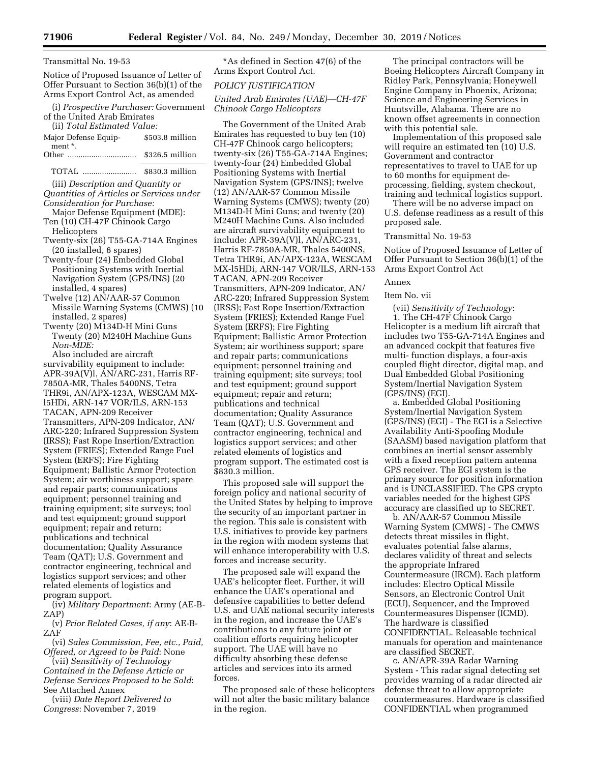#### Transmittal No. 19-53

Notice of Proposed Issuance of Letter of Offer Pursuant to Section 36(b)(1) of the Arms Export Control Act, as amended

(i) *Prospective Purchaser:* Government of the United Arab Emirates

(ii) *Total Estimated Value:*  Major Defense Equipment \*. \$503.8 million Other ................................ \$326.5 million

TOTAL ......................... \$830.3 million

(iii) *Description and Quantity or Quantities of Articles or Services under Consideration for Purchase:* 

Major Defense Equipment (MDE): Ten (10) CH-47F Chinook Cargo

Helicopters

Twenty-six (26) T55-GA-714A Engines (20 installed, 6 spares)

Twenty-four (24) Embedded Global Positioning Systems with Inertial Navigation System (GPS/INS) (20 installed, 4 spares)

Twelve (12) AN/AAR-57 Common Missile Warning Systems (CMWS) (10 installed, 2 spares)

Twenty (20) M134D-H Mini Guns Twenty (20) M240H Machine Guns *Non-MDE:* 

Also included are aircraft survivability equipment to include: APR-39A(V)l, AN/ARC-231, Harris RF-7850A-MR, Thales 5400NS, Tetra THR9i, AN/APX-123A, WESCAM MXl5HDi, ARN-147 VOR/ILS, ARN-153 TACAN, APN-209 Receiver Transmitters, APN-209 Indicator, AN/ ARC-220; Infrared Suppression System (IRSS); Fast Rope Insertion/Extraction System (FRIES); Extended Range Fuel System (ERFS); Fire Fighting Equipment; Ballistic Armor Protection System; air worthiness support; spare and repair parts; communications equipment; personnel training and training equipment; site surveys; tool and test equipment; ground support equipment; repair and return; publications and technical documentation; Quality Assurance Team (QAT); U.S. Government and contractor engineering, technical and logistics support services; and other related elements of logistics and program support.

(iv) *Military Department*: Army (AE-B-ZAP)

(v) *Prior Related Cases, if any*: AE-B-ZAF

(vi) *Sales Commission, Fee, etc., Paid, Offered, or Agreed to be Paid*: None

(vii) *Sensitivity of Technology Contained in the Defense Article or Defense Services Proposed to be Sold*: See Attached Annex

(viii) *Date Report Delivered to Congress*: November 7, 2019

\*As defined in Section 47(6) of the Arms Export Control Act.

### *POLICY JUSTIFICATION*

*United Arab Emirates (UAE)—CH-47F Chinook Cargo Helicopters* 

The Government of the United Arab Emirates has requested to buy ten (10) CH-47F Chinook cargo helicopters; twenty-six (26) T55-GA-714A Engines; twenty-four (24) Embedded Global Positioning Systems with Inertial Navigation System (GPS/INS); twelve (12) AN/AAR-57 Common Missile Warning Systems (CMWS); twenty (20) M134D-H Mini Guns; and twenty (20) M240H Machine Guns. Also included are aircraft survivability equipment to include: APR-39A(V)l, AN/ARC-231, Harris RF-7850A-MR, Thales 5400NS, Tetra THR9i, AN/APX-123A, WESCAM MX-l5HDi, ARN-147 VOR/ILS, ARN-153 TACAN, APN-209 Receiver Transmitters, APN-209 Indicator, AN/ ARC-220; Infrared Suppression System (IRSS); Fast Rope Insertion/Extraction System (FRIES); Extended Range Fuel System (ERFS); Fire Fighting Equipment; Ballistic Armor Protection System; air worthiness support; spare and repair parts; communications equipment; personnel training and training equipment; site surveys; tool and test equipment; ground support equipment; repair and return; publications and technical documentation; Quality Assurance Team (QAT); U.S. Government and contractor engineering, technical and logistics support services; and other related elements of logistics and program support. The estimated cost is \$830.3 million.

This proposed sale will support the foreign policy and national security of the United States by helping to improve the security of an important partner in the region. This sale is consistent with U.S. initiatives to provide key partners in the region with modem systems that will enhance interoperability with U.S. forces and increase security.

The proposed sale will expand the UAE's helicopter fleet. Further, it will enhance the UAE's operational and defensive capabilities to better defend U.S. and UAE national security interests in the region, and increase the UAE's contributions to any future joint or coalition efforts requiring helicopter support. The UAE will have no difficulty absorbing these defense articles and services into its armed forces.

The proposed sale of these helicopters will not alter the basic military balance in the region.

The principal contractors will be Boeing Helicopters Aircraft Company in Ridley Park, Pennsylvania; Honeywell Engine Company in Phoenix, Arizona; Science and Engineering Services in Huntsville, Alabama. There are no known offset agreements in connection with this potential sale.

Implementation of this proposed sale will require an estimated ten (10) U.S. Government and contractor representatives to travel to UAE for up to 60 months for equipment deprocessing, fielding, system checkout, training and technical logistics support.

There will be no adverse impact on U.S. defense readiness as a result of this proposed sale.

## Transmittal No. 19-53

Notice of Proposed Issuance of Letter of Offer Pursuant to Section 36(b)(1) of the Arms Export Control Act

#### Annex

### Item No. vii

(vii) *Sensitivity of Technology*: 1. The CH-47F Chinook Cargo Helicopter is a medium lift aircraft that includes two T55-GA-714A Engines and an advanced cockpit that features five multi- function displays, a four-axis coupled flight director, digital map, and Dual Embedded Global Positioning System/Inertial Navigation System (GPS/INS) (EGI).

a. Embedded Global Positioning System/Inertial Navigation System (GPS/INS) (EGI) - The EGI is a Selective Availability Anti-Spoofing Module (SAASM) based navigation platform that combines an inertial sensor assembly with a fixed reception pattern antenna GPS receiver. The EGI system is the primary source for position information and is UNCLASSIFIED. The GPS crypto variables needed for the highest GPS accuracy are classified up to SECRET.

b. AN/AAR-57 Common Missile Warning System (CMWS) - The CMWS detects threat missiles in flight, evaluates potential false alarms, declares validity of threat and selects the appropriate Infrared Countermeasure (IRCM). Each platform includes: Electro Optical Missile Sensors, an Electronic Control Unit (ECU), Sequencer, and the Improved Countermeasures Dispenser (ICMD). The hardware is classified CONFIDENTIAL. Releasable technical manuals for operation and maintenance are classified SECRET.

c. AN/APR-39A Radar Warning System - This radar signal detecting set provides warning of a radar directed air defense threat to allow appropriate countermeasures. Hardware is classified CONFIDENTIAL when programmed